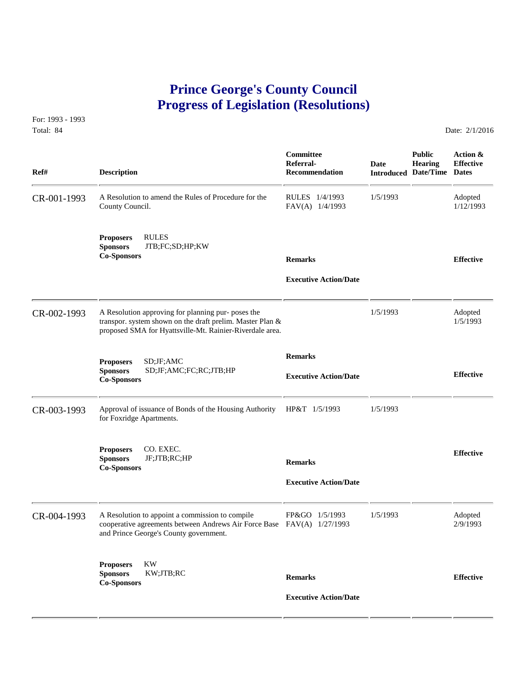## **Prince George's County Council Progress of Legislation (Resolutions)**

For: 1993 - 1993 Total: 84 Date: 2/1/2016

| Ref#        | <b>Description</b>                                                                                                                                                          | Committee<br>Referral-<br><b>Recommendation</b> | <b>Date</b> | <b>Public</b><br><b>Hearing</b><br><b>Introduced Date/Time Dates</b> | Action &<br><b>Effective</b> |
|-------------|-----------------------------------------------------------------------------------------------------------------------------------------------------------------------------|-------------------------------------------------|-------------|----------------------------------------------------------------------|------------------------------|
| CR-001-1993 | A Resolution to amend the Rules of Procedure for the<br>County Council.                                                                                                     | RULES 1/4/1993<br>FAV(A) 1/4/1993               | 1/5/1993    |                                                                      | Adopted<br>1/12/1993         |
|             | <b>RULES</b><br><b>Proposers</b><br><b>Sponsors</b><br>JTB;FC;SD;HP;KW<br><b>Co-Sponsors</b>                                                                                | <b>Remarks</b><br><b>Executive Action/Date</b>  |             |                                                                      | <b>Effective</b>             |
| CR-002-1993 | A Resolution approving for planning pur- poses the<br>transpor. system shown on the draft prelim. Master Plan &<br>proposed SMA for Hyattsville-Mt. Rainier-Riverdale area. |                                                 | 1/5/1993    |                                                                      | Adopted<br>1/5/1993          |
|             | SD; JF; AMC<br><b>Proposers</b><br><b>Sponsors</b><br>SD;JF;AMC;FC;RC;JTB;HP<br><b>Co-Sponsors</b>                                                                          | <b>Remarks</b><br><b>Executive Action/Date</b>  |             |                                                                      | <b>Effective</b>             |
| CR-003-1993 | Approval of issuance of Bonds of the Housing Authority<br>for Foxridge Apartments.                                                                                          | HP&T 1/5/1993                                   | 1/5/1993    |                                                                      |                              |
|             | CO. EXEC.<br><b>Proposers</b><br><b>Sponsors</b><br>JF;JTB;RC;HP<br><b>Co-Sponsors</b>                                                                                      | <b>Remarks</b><br><b>Executive Action/Date</b>  |             |                                                                      | <b>Effective</b>             |
| CR-004-1993 | A Resolution to appoint a commission to compile<br>cooperative agreements between Andrews Air Force Base FAV(A) 1/27/1993<br>and Prince George's County government.         | FP&GO 1/5/1993                                  | 1/5/1993    |                                                                      | Adopted<br>2/9/1993          |
|             | <b>KW</b><br><b>Proposers</b><br>KW;JTB;RC<br><b>Sponsors</b><br><b>Co-Sponsors</b>                                                                                         | <b>Remarks</b><br><b>Executive Action/Date</b>  |             |                                                                      | <b>Effective</b>             |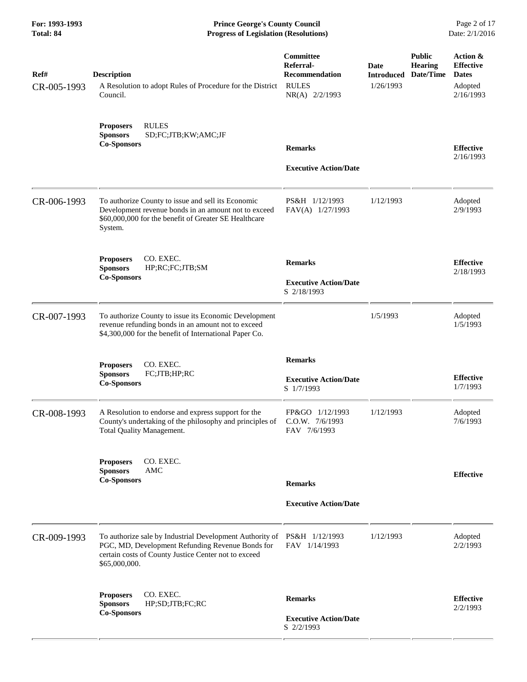**For: 1993-1993 Prince George's County Council** Page 2 of 17<br> **Prince George's County Council** Page 2 of 17<br> **Progress of Legislation (Resolutions)** Date: 2/1/2016 **Total: 84 Progress of Legislation (Resolutions)** 

| Ref#<br>CR-005-1993 | <b>Description</b><br>A Resolution to adopt Rules of Procedure for the District<br>Council.                                                                                                          | <b>Committee</b><br>Referral-<br><b>Recommendation</b><br><b>RULES</b><br>NR(A) 2/2/1993 | <b>Date</b><br><b>Introduced</b><br>1/26/1993 | <b>Public</b><br><b>Hearing</b><br>Date/Time | Action &<br><b>Effective</b><br><b>Dates</b><br>Adopted<br>2/16/1993 |
|---------------------|------------------------------------------------------------------------------------------------------------------------------------------------------------------------------------------------------|------------------------------------------------------------------------------------------|-----------------------------------------------|----------------------------------------------|----------------------------------------------------------------------|
|                     | <b>RULES</b><br><b>Proposers</b><br><b>Sponsors</b><br>SD;FC;JTB;KW;AMC;JF<br><b>Co-Sponsors</b>                                                                                                     | <b>Remarks</b><br><b>Executive Action/Date</b>                                           |                                               |                                              | <b>Effective</b><br>2/16/1993                                        |
| CR-006-1993         | To authorize County to issue and sell its Economic<br>Development revenue bonds in an amount not to exceed<br>\$60,000,000 for the benefit of Greater SE Healthcare<br>System.                       | PS&H 1/12/1993<br>FAV(A) 1/27/1993                                                       | 1/12/1993                                     |                                              | Adopted<br>2/9/1993                                                  |
|                     | <b>Proposers</b><br>CO. EXEC.<br><b>Sponsors</b><br>HP;RC;FC;JTB;SM<br><b>Co-Sponsors</b>                                                                                                            | <b>Remarks</b><br><b>Executive Action/Date</b><br>S 2/18/1993                            |                                               |                                              | <b>Effective</b><br>2/18/1993                                        |
| CR-007-1993         | To authorize County to issue its Economic Development<br>revenue refunding bonds in an amount not to exceed<br>\$4,300,000 for the benefit of International Paper Co.                                |                                                                                          | 1/5/1993                                      |                                              | Adopted<br>1/5/1993                                                  |
|                     | <b>Proposers</b><br>CO. EXEC.<br>FC;JTB;HP;RC<br><b>Sponsors</b><br><b>Co-Sponsors</b>                                                                                                               | <b>Remarks</b><br><b>Executive Action/Date</b><br>S 1/7/1993                             |                                               |                                              | <b>Effective</b><br>1/7/1993                                         |
| CR-008-1993         | A Resolution to endorse and express support for the<br>County's undertaking of the philosophy and principles of<br>Total Quality Management.                                                         | FP&GO 1/12/1993<br>C.O.W. 7/6/1993<br>FAV 7/6/1993                                       | 1/12/1993                                     |                                              | Adopted<br>7/6/1993                                                  |
|                     | CO. EXEC.<br><b>Proposers</b><br><b>Sponsors</b><br>AMC<br><b>Co-Sponsors</b>                                                                                                                        | <b>Remarks</b><br><b>Executive Action/Date</b>                                           |                                               |                                              | <b>Effective</b>                                                     |
| CR-009-1993         | To authorize sale by Industrial Development Authority of PS&H 1/12/1993<br>PGC, MD, Development Refunding Revenue Bonds for<br>certain costs of County Justice Center not to exceed<br>\$65,000,000. | FAV 1/14/1993                                                                            | 1/12/1993                                     |                                              | Adopted<br>2/2/1993                                                  |
|                     | CO. EXEC.<br><b>Proposers</b><br><b>Sponsors</b><br>HP;SD;JTB;FC;RC<br><b>Co-Sponsors</b>                                                                                                            | <b>Remarks</b><br><b>Executive Action/Date</b><br>S 2/2/1993                             |                                               |                                              | <b>Effective</b><br>2/2/1993                                         |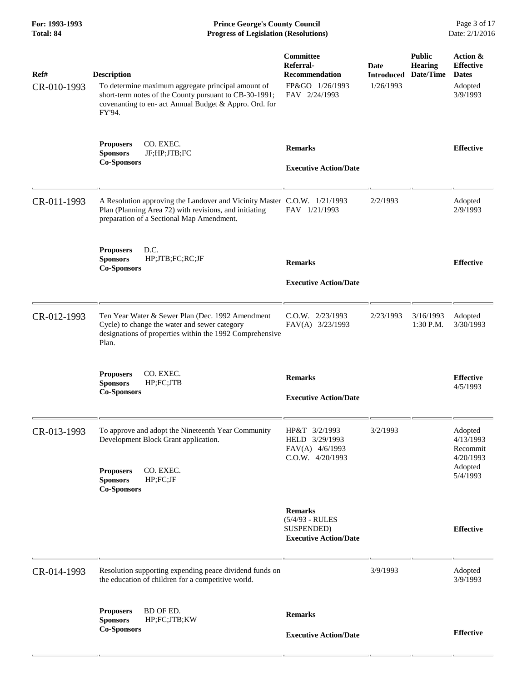**For: 1993-1993 Prince George's County Council** Page 3 of 17<br> **Prince George's County Council** Page 3 of 17<br> **Progress of Legislation (Resolutions)** Date: 2/1/2016 **Total: 84 Progress of Legislation (Resolutions)** 

| Ref#<br>CR-010-1993 | <b>Description</b><br>To determine maximum aggregate principal amount of<br>short-term notes of the County pursuant to CB-30-1991;<br>covenanting to en- act Annual Budget & Appro. Ord. for<br>FY'94. | Committee<br>Referral-<br><b>Recommendation</b><br>FP&GO 1/26/1993<br>FAV 2/24/1993 | Date<br><b>Introduced</b><br>1/26/1993 | <b>Public</b><br><b>Hearing</b><br>Date/Time | Action &<br><b>Effective</b><br><b>Dates</b><br>Adopted<br>3/9/1993  |
|---------------------|--------------------------------------------------------------------------------------------------------------------------------------------------------------------------------------------------------|-------------------------------------------------------------------------------------|----------------------------------------|----------------------------------------------|----------------------------------------------------------------------|
|                     | CO. EXEC.<br><b>Proposers</b><br><b>Sponsors</b><br>JF;HP;JTB;FC<br><b>Co-Sponsors</b>                                                                                                                 | <b>Remarks</b><br><b>Executive Action/Date</b>                                      |                                        |                                              | <b>Effective</b>                                                     |
| CR-011-1993         | A Resolution approving the Landover and Vicinity Master C.O.W. 1/21/1993<br>Plan (Planning Area 72) with revisions, and initiating<br>preparation of a Sectional Map Amendment.                        | FAV 1/21/1993                                                                       | 2/2/1993                               |                                              | Adopted<br>2/9/1993                                                  |
|                     | D.C.<br><b>Proposers</b><br><b>Sponsors</b><br>HP;JTB;FC;RC;JF<br><b>Co-Sponsors</b>                                                                                                                   | <b>Remarks</b><br><b>Executive Action/Date</b>                                      |                                        |                                              | <b>Effective</b>                                                     |
| CR-012-1993         | Ten Year Water & Sewer Plan (Dec. 1992 Amendment<br>Cycle) to change the water and sewer category<br>designations of properties within the 1992 Comprehensive<br>Plan.                                 | $C.0.W.$ $2/23/1993$<br>FAV(A) 3/23/1993                                            | 2/23/1993                              | 3/16/1993<br>1:30 P.M.                       | Adopted<br>3/30/1993                                                 |
|                     | CO. EXEC.<br><b>Proposers</b><br><b>Sponsors</b><br>HP;FC;JTB<br><b>Co-Sponsors</b>                                                                                                                    | <b>Remarks</b><br><b>Executive Action/Date</b>                                      |                                        |                                              | <b>Effective</b><br>4/5/1993                                         |
| CR-013-1993         | To approve and adopt the Nineteenth Year Community<br>Development Block Grant application.<br><b>Proposers</b><br>CO. EXEC.<br>HP;FC;JF<br><b>Sponsors</b><br><b>Co-Sponsors</b>                       | HP&T 3/2/1993<br>HELD 3/29/1993<br>FAV(A) 4/6/1993<br>C.O.W. 4/20/1993              | 3/2/1993                               |                                              | Adopted<br>4/13/1993<br>Recommit<br>4/20/1993<br>Adopted<br>5/4/1993 |
|                     |                                                                                                                                                                                                        | <b>Remarks</b><br>$(5/4/93 - RULES)$<br>SUSPENDED)<br><b>Executive Action/Date</b>  |                                        |                                              | <b>Effective</b>                                                     |
| CR-014-1993         | Resolution supporting expending peace dividend funds on<br>the education of children for a competitive world.                                                                                          |                                                                                     | 3/9/1993                               |                                              | Adopted<br>3/9/1993                                                  |
|                     | BD OF ED.<br><b>Proposers</b><br><b>Sponsors</b><br>HP;FC;JTB;KW<br><b>Co-Sponsors</b>                                                                                                                 | <b>Remarks</b><br><b>Executive Action/Date</b>                                      |                                        |                                              | <b>Effective</b>                                                     |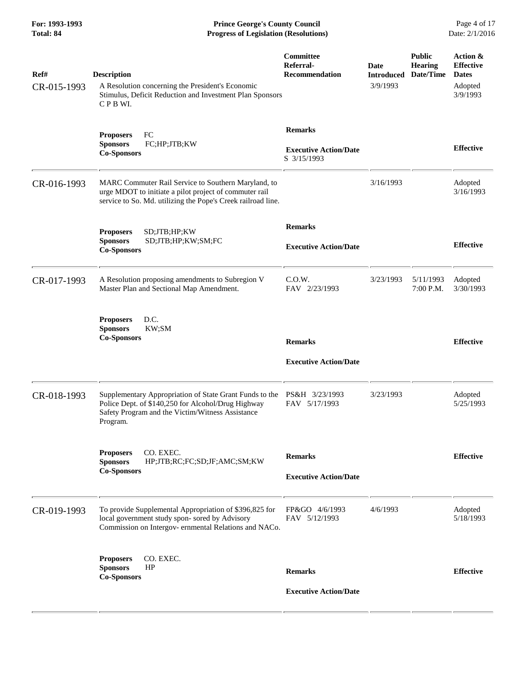| For: 1993-1993<br>Total: 84 | <b>Prince George's County Council</b><br><b>Progress of Legislation (Resolutions)</b>                                                                                                                      |                                                               | Page 4 of 17<br>Date: 2/1/2016        |                                              |                                                                     |
|-----------------------------|------------------------------------------------------------------------------------------------------------------------------------------------------------------------------------------------------------|---------------------------------------------------------------|---------------------------------------|----------------------------------------------|---------------------------------------------------------------------|
| Ref#<br>CR-015-1993         | <b>Description</b><br>A Resolution concerning the President's Economic<br>Stimulus, Deficit Reduction and Investment Plan Sponsors<br>CPB WI.                                                              | <b>Committee</b><br>Referral-<br><b>Recommendation</b>        | Date<br><b>Introduced</b><br>3/9/1993 | <b>Public</b><br><b>Hearing</b><br>Date/Time | Action &<br><b>Effective</b><br><b>Dates</b><br>Adopted<br>3/9/1993 |
|                             | FC<br><b>Proposers</b><br>FC;HP;JTB;KW<br><b>Sponsors</b><br><b>Co-Sponsors</b>                                                                                                                            | <b>Remarks</b><br><b>Executive Action/Date</b><br>S 3/15/1993 |                                       |                                              | <b>Effective</b>                                                    |
| CR-016-1993                 | MARC Commuter Rail Service to Southern Maryland, to<br>urge MDOT to initiate a pilot project of commuter rail<br>service to So. Md. utilizing the Pope's Creek railroad line.                              |                                                               | 3/16/1993                             |                                              | Adopted<br>3/16/1993                                                |
|                             | SD;JTB;HP;KW<br><b>Proposers</b><br>SD;JTB;HP;KW;SM;FC<br><b>Sponsors</b><br><b>Co-Sponsors</b>                                                                                                            | <b>Remarks</b><br><b>Executive Action/Date</b>                |                                       |                                              | <b>Effective</b>                                                    |
| CR-017-1993                 | A Resolution proposing amendments to Subregion V<br>Master Plan and Sectional Map Amendment.                                                                                                               | C.0.W.<br>FAV 2/23/1993                                       | 3/23/1993                             | 5/11/1993<br>7:00 P.M.                       | Adopted<br>3/30/1993                                                |
|                             | D.C.<br><b>Proposers</b><br><b>Sponsors</b><br>KW;SM<br><b>Co-Sponsors</b>                                                                                                                                 | <b>Remarks</b><br><b>Executive Action/Date</b>                |                                       |                                              | <b>Effective</b>                                                    |
| CR-018-1993                 | Supplementary Appropriation of State Grant Funds to the PS&H 3/23/1993<br>Police Dept. of \$140,250 for Alcohol/Drug Highway FAV 5/17/1993<br>Safety Program and the Victim/Witness Assistance<br>Program. |                                                               | 3/23/1993                             |                                              | Adopted<br>5/25/1993                                                |
|                             | CO. EXEC.<br><b>Proposers</b><br>HP;JTB;RC;FC;SD;JF;AMC;SM;KW<br><b>Sponsors</b><br><b>Co-Sponsors</b>                                                                                                     | <b>Remarks</b><br><b>Executive Action/Date</b>                |                                       |                                              | <b>Effective</b>                                                    |
| CR-019-1993                 | To provide Supplemental Appropriation of \$396,825 for<br>local government study spon- sored by Advisory<br>Commission on Intergov- ernmental Relations and NACo.                                          | FP&GO 4/6/1993<br>FAV 5/12/1993                               | 4/6/1993                              |                                              | Adopted<br>5/18/1993                                                |
|                             | <b>Proposers</b><br>CO. EXEC.<br><b>Sponsors</b><br>HP<br><b>Co-Sponsors</b>                                                                                                                               | <b>Remarks</b><br><b>Executive Action/Date</b>                |                                       |                                              | <b>Effective</b>                                                    |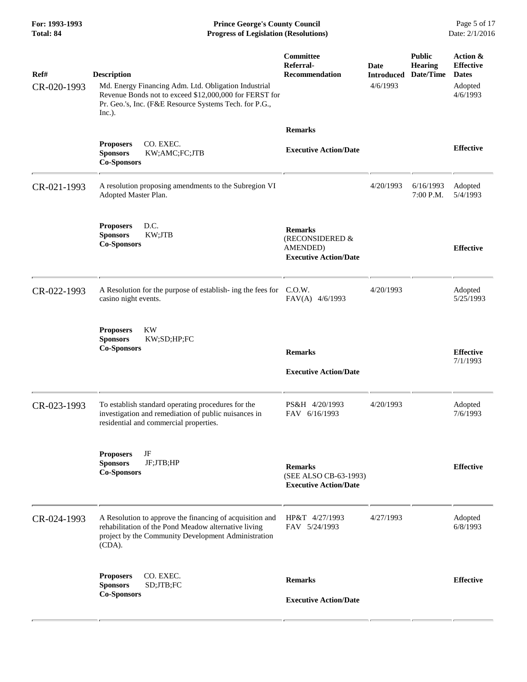**For: 1993-1993 Prince George's County Council** Page 5 of 17<br> **Prince George's County Council** Page 5 of 17<br> **Progress of Legislation (Resolutions)** Date: 2/1/2016 **Total: 84 Progress of Legislation (Resolutions)** 

| Ref#<br>CR-020-1993 | <b>Description</b><br>Md. Energy Financing Adm. Ltd. Obligation Industrial<br>Revenue Bonds not to exceed \$12,000,000 for FERST for<br>Pr. Geo.'s, Inc. (F&E Resource Systems Tech. for P.G.,<br>Inc.). | Committee<br>Referral-<br><b>Recommendation</b>                               | Date<br><b>Introduced</b><br>4/6/1993 | <b>Public</b><br><b>Hearing</b><br>Date/Time | Action &<br><b>Effective</b><br><b>Dates</b><br>Adopted<br>4/6/1993 |
|---------------------|----------------------------------------------------------------------------------------------------------------------------------------------------------------------------------------------------------|-------------------------------------------------------------------------------|---------------------------------------|----------------------------------------------|---------------------------------------------------------------------|
|                     |                                                                                                                                                                                                          | <b>Remarks</b>                                                                |                                       |                                              |                                                                     |
|                     | CO. EXEC.<br><b>Proposers</b><br><b>Sponsors</b><br>KW;AMC;FC;JTB<br><b>Co-Sponsors</b>                                                                                                                  | <b>Executive Action/Date</b>                                                  |                                       |                                              | <b>Effective</b>                                                    |
| CR-021-1993         | A resolution proposing amendments to the Subregion VI<br>Adopted Master Plan.                                                                                                                            |                                                                               | 4/20/1993                             | 6/16/1993<br>7:00 P.M.                       | Adopted<br>5/4/1993                                                 |
|                     | D.C.<br><b>Proposers</b><br>KW;JTB<br><b>Sponsors</b><br><b>Co-Sponsors</b>                                                                                                                              | <b>Remarks</b><br>(RECONSIDERED &<br>AMENDED)<br><b>Executive Action/Date</b> |                                       |                                              | <b>Effective</b>                                                    |
| CR-022-1993         | A Resolution for the purpose of establish- ing the fees for<br>casino night events.                                                                                                                      | C.0.W.<br>FAV(A) 4/6/1993                                                     | 4/20/1993                             |                                              | Adopted<br>5/25/1993                                                |
|                     | <b>KW</b><br><b>Proposers</b><br><b>Sponsors</b><br>KW;SD;HP;FC<br><b>Co-Sponsors</b>                                                                                                                    | <b>Remarks</b><br><b>Executive Action/Date</b>                                |                                       |                                              | <b>Effective</b><br>7/1/1993                                        |
| CR-023-1993         | To establish standard operating procedures for the<br>investigation and remediation of public nuisances in<br>residential and commercial properties.                                                     | PS&H 4/20/1993<br>FAV 6/16/1993                                               | 4/20/1993                             |                                              | Adopted<br>7/6/1993                                                 |
|                     | <b>Proposers</b><br>JF<br><b>Sponsors</b><br>JF;JTB;HP<br><b>Co-Sponsors</b>                                                                                                                             | <b>Remarks</b><br>(SEE ALSO CB-63-1993)<br><b>Executive Action/Date</b>       |                                       |                                              | <b>Effective</b>                                                    |
| CR-024-1993         | A Resolution to approve the financing of acquisition and<br>rehabilitation of the Pond Meadow alternative living<br>project by the Community Development Administration<br>$(CDA)$ .                     | HP&T 4/27/1993<br>FAV 5/24/1993                                               | 4/27/1993                             |                                              | Adopted<br>6/8/1993                                                 |
|                     | CO. EXEC.<br><b>Proposers</b><br><b>Sponsors</b><br>SD;JTB;FC<br><b>Co-Sponsors</b>                                                                                                                      | <b>Remarks</b><br><b>Executive Action/Date</b>                                |                                       |                                              | <b>Effective</b>                                                    |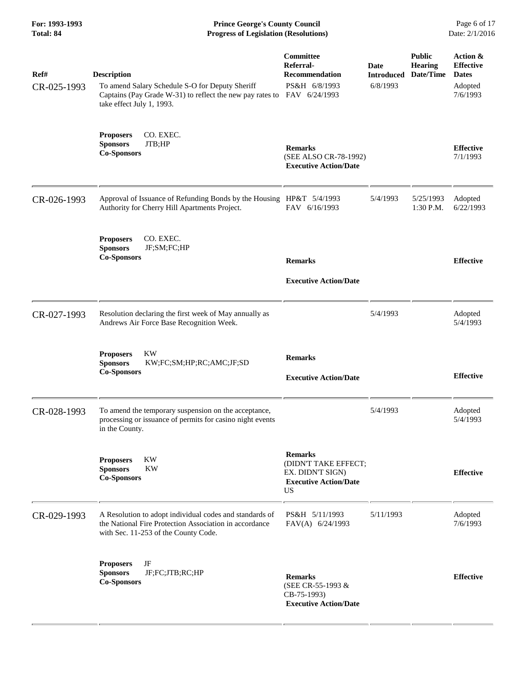**For: 1993-1993 Prince George's County Council** Page 6 of 17<br> **Prince George's County Council** Page 6 of 17<br> **Progress of Legislation (Resolutions)** Date: 2/1/2016 **Total: 84 Progress of Legislation (Resolutions)** 

| Ref#<br>CR-025-1993 | <b>Description</b><br>To amend Salary Schedule S-O for Deputy Sheriff<br>Captains (Pay Grade W-31) to reflect the new pay rates to FAV 6/24/1993<br>take effect July 1, 1993. | Committee<br>Referral-<br><b>Recommendation</b><br>PS&H 6/8/1993                                        | Date<br><b>Introduced</b><br>6/8/1993 | <b>Public</b><br><b>Hearing</b><br>Date/Time | Action &<br><b>Effective</b><br><b>Dates</b><br>Adopted<br>7/6/1993 |
|---------------------|-------------------------------------------------------------------------------------------------------------------------------------------------------------------------------|---------------------------------------------------------------------------------------------------------|---------------------------------------|----------------------------------------------|---------------------------------------------------------------------|
|                     | <b>Proposers</b><br>CO. EXEC.<br><b>Sponsors</b><br>JTB;HP<br><b>Co-Sponsors</b>                                                                                              | <b>Remarks</b><br>(SEE ALSO CR-78-1992)<br><b>Executive Action/Date</b>                                 |                                       |                                              | <b>Effective</b><br>7/1/1993                                        |
| CR-026-1993         | Approval of Issuance of Refunding Bonds by the Housing HP&T 5/4/1993<br>Authority for Cherry Hill Apartments Project.                                                         | FAV 6/16/1993                                                                                           | 5/4/1993                              | 5/25/1993<br>1:30 P.M.                       | Adopted<br>6/22/1993                                                |
|                     | CO. EXEC.<br><b>Proposers</b><br>JF;SM;FC;HP<br><b>Sponsors</b><br><b>Co-Sponsors</b>                                                                                         | <b>Remarks</b><br><b>Executive Action/Date</b>                                                          |                                       |                                              | <b>Effective</b>                                                    |
| CR-027-1993         | Resolution declaring the first week of May annually as<br>Andrews Air Force Base Recognition Week.                                                                            |                                                                                                         | 5/4/1993                              |                                              | Adopted<br>5/4/1993                                                 |
|                     | <b>Proposers</b><br>KW<br><b>Sponsors</b><br>KW;FC;SM;HP;RC;AMC;JF;SD<br><b>Co-Sponsors</b>                                                                                   | <b>Remarks</b><br><b>Executive Action/Date</b>                                                          |                                       |                                              | <b>Effective</b>                                                    |
| CR-028-1993         | To amend the temporary suspension on the acceptance,<br>processing or issuance of permits for casino night events<br>in the County.                                           |                                                                                                         | 5/4/1993                              |                                              | Adopted<br>5/4/1993                                                 |
|                     | <b>KW</b><br><b>Proposers</b><br><b>KW</b><br><b>Sponsors</b><br><b>Co-Sponsors</b>                                                                                           | <b>Remarks</b><br>(DIDN'T TAKE EFFECT;<br>EX. DIDN'T SIGN)<br><b>Executive Action/Date</b><br><b>US</b> |                                       |                                              | <b>Effective</b>                                                    |
| CR-029-1993         | A Resolution to adopt individual codes and standards of<br>the National Fire Protection Association in accordance<br>with Sec. 11-253 of the County Code.                     | PS&H 5/11/1993<br>FAV(A) 6/24/1993                                                                      | 5/11/1993                             |                                              | Adopted<br>7/6/1993                                                 |
|                     | JF<br><b>Proposers</b><br>JF;FC;JTB;RC;HP<br><b>Sponsors</b><br><b>Co-Sponsors</b>                                                                                            | <b>Remarks</b><br>(SEE CR-55-1993 &<br>CB-75-1993)<br><b>Executive Action/Date</b>                      |                                       |                                              | <b>Effective</b>                                                    |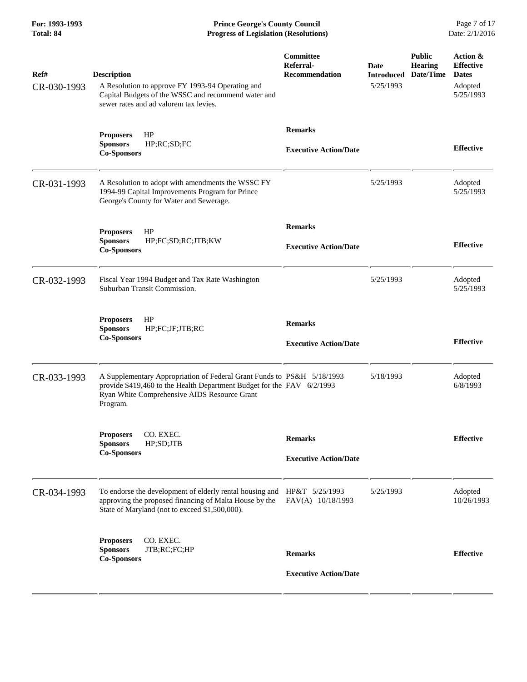**For: 1993-1993 Prince George's County Council** Page 7 of 17<br> **Prince George's County Council** Page 7 of 17<br> **Progress of Legislation (Resolutions)** Date: 2/1/2016 **Total: 84 Progress of Legislation (Resolutions)** 

| Ref#<br>CR-030-1993 | <b>Description</b><br>A Resolution to approve FY 1993-94 Operating and<br>Capital Budgets of the WSSC and recommend water and<br>sewer rates and ad valorem tax levies.                                      | Committee<br>Referral-<br><b>Recommendation</b> | <b>Date</b><br>5/25/1993 | <b>Public</b><br><b>Hearing</b><br><b>Introduced Date/Time</b> | Action &<br><b>Effective</b><br><b>Dates</b><br>Adopted<br>5/25/1993 |
|---------------------|--------------------------------------------------------------------------------------------------------------------------------------------------------------------------------------------------------------|-------------------------------------------------|--------------------------|----------------------------------------------------------------|----------------------------------------------------------------------|
|                     | HP<br><b>Proposers</b><br>HP;RC;SD;FC<br><b>Sponsors</b><br><b>Co-Sponsors</b>                                                                                                                               | <b>Remarks</b><br><b>Executive Action/Date</b>  |                          |                                                                | <b>Effective</b>                                                     |
| CR-031-1993         | A Resolution to adopt with amendments the WSSC FY<br>1994-99 Capital Improvements Program for Prince<br>George's County for Water and Sewerage.                                                              |                                                 | 5/25/1993                |                                                                | Adopted<br>5/25/1993                                                 |
|                     | HP<br><b>Proposers</b><br><b>Sponsors</b><br>HP;FC;SD;RC;JTB;KW<br><b>Co-Sponsors</b>                                                                                                                        | <b>Remarks</b><br><b>Executive Action/Date</b>  |                          |                                                                | <b>Effective</b>                                                     |
| CR-032-1993         | Fiscal Year 1994 Budget and Tax Rate Washington<br>Suburban Transit Commission.                                                                                                                              |                                                 | 5/25/1993                |                                                                | Adopted<br>5/25/1993                                                 |
|                     | HP<br><b>Proposers</b><br><b>Sponsors</b><br>HP;FC;JF;JTB;RC<br><b>Co-Sponsors</b>                                                                                                                           | <b>Remarks</b><br><b>Executive Action/Date</b>  |                          |                                                                | <b>Effective</b>                                                     |
| CR-033-1993         | A Supplementary Appropriation of Federal Grant Funds to PS&H 5/18/1993<br>provide \$419,460 to the Health Department Budget for the FAV 6/2/1993<br>Ryan White Comprehensive AIDS Resource Grant<br>Program. |                                                 | 5/18/1993                |                                                                | Adopted<br>6/8/1993                                                  |
|                     | <b>Proposers</b><br>CO. EXEC<br>HP;SD;JTB<br><b>Sponsors</b><br><b>Co-Sponsors</b>                                                                                                                           | <b>Remarks</b><br><b>Executive Action/Date</b>  |                          |                                                                | <b>Effective</b>                                                     |
| CR-034-1993         | To endorse the development of elderly rental housing and HP&T 5/25/1993<br>approving the proposed financing of Malta House by the<br>State of Maryland (not to exceed \$1,500,000).                          | FAV(A) 10/18/1993                               | 5/25/1993                |                                                                | Adopted<br>10/26/1993                                                |
|                     | <b>Proposers</b><br>CO. EXEC.<br>JTB;RC;FC;HP<br><b>Sponsors</b><br><b>Co-Sponsors</b>                                                                                                                       | <b>Remarks</b><br><b>Executive Action/Date</b>  |                          |                                                                | <b>Effective</b>                                                     |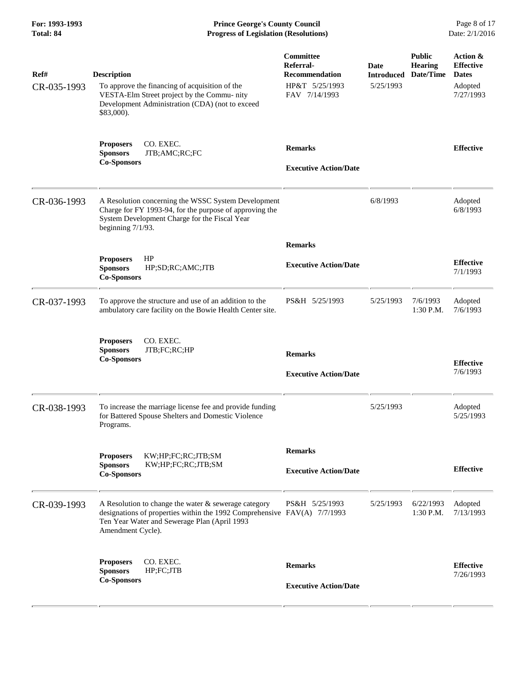**For: 1993-1993 Prince George's County Council** Page 8 of 17<br> **Prince George's County Council** Page 8 of 17<br> **Progress of Legislation (Resolutions)** Date: 2/1/2016 **Total: 84 Progress of Legislation (Resolutions)** 

| Ref#<br>CR-035-1993 | <b>Description</b><br>To approve the financing of acquisition of the<br>VESTA-Elm Street project by the Commu- nity<br>Development Administration (CDA) (not to exceed<br>\$83,000).                       | Committee<br>Referral-<br><b>Recommendation</b><br>HP&T 5/25/1993<br>FAV 7/14/1993 | <b>Date</b><br><b>Introduced</b><br>5/25/1993 | <b>Public</b><br><b>Hearing</b><br>Date/Time | Action &<br><b>Effective</b><br><b>Dates</b><br>Adopted<br>7/27/1993 |
|---------------------|------------------------------------------------------------------------------------------------------------------------------------------------------------------------------------------------------------|------------------------------------------------------------------------------------|-----------------------------------------------|----------------------------------------------|----------------------------------------------------------------------|
|                     | CO. EXEC.<br><b>Proposers</b><br><b>Sponsors</b><br>JTB;AMC;RC;FC<br><b>Co-Sponsors</b>                                                                                                                    | <b>Remarks</b><br><b>Executive Action/Date</b>                                     |                                               |                                              | <b>Effective</b>                                                     |
| CR-036-1993         | A Resolution concerning the WSSC System Development<br>Charge for FY 1993-94, for the purpose of approving the<br>System Development Charge for the Fiscal Year<br>beginning $7/1/93$ .                    |                                                                                    | 6/8/1993                                      |                                              | Adopted<br>6/8/1993                                                  |
|                     |                                                                                                                                                                                                            | <b>Remarks</b>                                                                     |                                               |                                              |                                                                      |
|                     | HP<br><b>Proposers</b><br><b>Sponsors</b><br>HP;SD;RC;AMC;JTB<br><b>Co-Sponsors</b>                                                                                                                        | <b>Executive Action/Date</b>                                                       |                                               |                                              | <b>Effective</b><br>7/1/1993                                         |
| CR-037-1993         | To approve the structure and use of an addition to the<br>ambulatory care facility on the Bowie Health Center site.                                                                                        | PS&H 5/25/1993                                                                     | 5/25/1993                                     | 7/6/1993<br>1:30 P.M.                        | Adopted<br>7/6/1993                                                  |
|                     | CO. EXEC.<br><b>Proposers</b><br><b>Sponsors</b><br>JTB;FC;RC;HP<br><b>Co-Sponsors</b>                                                                                                                     | <b>Remarks</b><br><b>Executive Action/Date</b>                                     |                                               |                                              | <b>Effective</b><br>7/6/1993                                         |
| CR-038-1993         | To increase the marriage license fee and provide funding<br>for Battered Spouse Shelters and Domestic Violence<br>Programs.                                                                                |                                                                                    | 5/25/1993                                     |                                              | Adopted<br>5/25/1993                                                 |
|                     | KW;HP;FC;RC;JTB;SM<br><b>Proposers</b><br>KW;HP;FC;RC;JTB;SM<br><b>Sponsors</b><br><b>Co-Sponsors</b>                                                                                                      | <b>Remarks</b><br><b>Executive Action/Date</b>                                     |                                               |                                              | <b>Effective</b>                                                     |
| CR-039-1993         | A Resolution to change the water $\&$ sewerage category<br>designations of properties within the 1992 Comprehensive $FAV(A)$ 7/7/1993<br>Ten Year Water and Sewerage Plan (April 1993<br>Amendment Cycle). | PS&H 5/25/1993                                                                     | 5/25/1993                                     | 6/22/1993<br>1:30 P.M.                       | Adopted<br>7/13/1993                                                 |
|                     | CO. EXEC.<br><b>Proposers</b><br>HP;FC;JTB<br><b>Sponsors</b><br><b>Co-Sponsors</b>                                                                                                                        | <b>Remarks</b><br><b>Executive Action/Date</b>                                     |                                               |                                              | <b>Effective</b><br>7/26/1993                                        |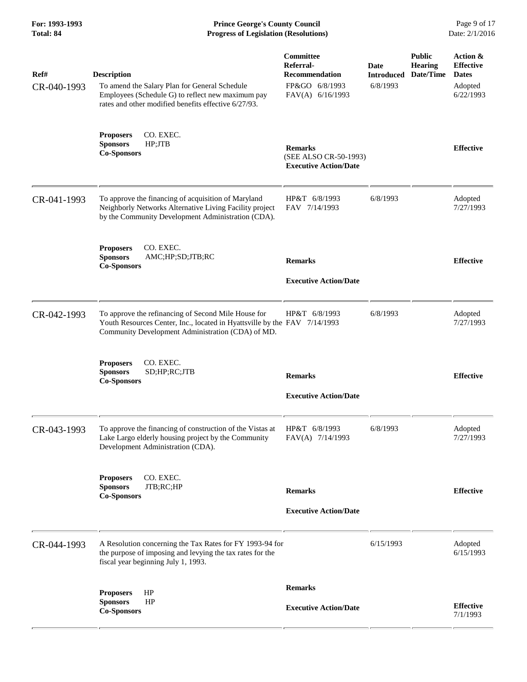**For: 1993-1993 Prince George's County Council** Page 9 of 17<br> **Prince George's County Council** Page 9 of 17<br> **Progress of Legislation (Resolutions)** Date: 2/1/2016 **Total: 84 Progress of Legislation (Resolutions)** 

| Ref#<br>CR-040-1993 | <b>Description</b><br>To amend the Salary Plan for General Schedule<br>Employees (Schedule G) to reflect new maximum pay<br>rates and other modified benefits effective 6/27/93.      | Committee<br>Referral-<br><b>Recommendation</b><br>FP&GO 6/8/1993<br>FAV(A) 6/16/1993 | Date<br><b>Introduced</b><br>6/8/1993 | <b>Public</b><br><b>Hearing</b><br>Date/Time | Action &<br><b>Effective</b><br><b>Dates</b><br>Adopted<br>6/22/1993 |
|---------------------|---------------------------------------------------------------------------------------------------------------------------------------------------------------------------------------|---------------------------------------------------------------------------------------|---------------------------------------|----------------------------------------------|----------------------------------------------------------------------|
|                     | <b>Proposers</b><br>CO. EXEC.<br>HP;JTB<br><b>Sponsors</b><br><b>Co-Sponsors</b>                                                                                                      | <b>Remarks</b><br>(SEE ALSO CR-50-1993)<br><b>Executive Action/Date</b>               |                                       |                                              | <b>Effective</b>                                                     |
| CR-041-1993         | To approve the financing of acquisition of Maryland<br>Neighborly Networks Alternative Living Facility project<br>by the Community Development Administration (CDA).                  | HP&T 6/8/1993<br>FAV 7/14/1993                                                        | 6/8/1993                              |                                              | Adopted<br>7/27/1993                                                 |
|                     | CO. EXEC.<br><b>Proposers</b><br><b>Sponsors</b><br>AMC;HP;SD;JTB;RC<br><b>Co-Sponsors</b>                                                                                            | <b>Remarks</b><br><b>Executive Action/Date</b>                                        |                                       |                                              | <b>Effective</b>                                                     |
| CR-042-1993         | To approve the refinancing of Second Mile House for<br>Youth Resources Center, Inc., located in Hyattsville by the FAV 7/14/1993<br>Community Development Administration (CDA) of MD. | HP&T 6/8/1993                                                                         | 6/8/1993                              |                                              | Adopted<br>7/27/1993                                                 |
|                     | CO. EXEC.<br><b>Proposers</b><br><b>Sponsors</b><br>SD;HP;RC;JTB<br><b>Co-Sponsors</b>                                                                                                | <b>Remarks</b><br><b>Executive Action/Date</b>                                        |                                       |                                              | <b>Effective</b>                                                     |
| CR-043-1993         | To approve the financing of construction of the Vistas at<br>Lake Largo elderly housing project by the Community<br>Development Administration (CDA).                                 | HP&T 6/8/1993<br>FAV(A) 7/14/1993                                                     | 6/8/1993                              |                                              | Adopted<br>7/27/1993                                                 |
|                     | CO. EXEC.<br><b>Proposers</b><br>JTB;RC;HP<br><b>Sponsors</b><br><b>Co-Sponsors</b>                                                                                                   | <b>Remarks</b><br><b>Executive Action/Date</b>                                        |                                       |                                              | <b>Effective</b>                                                     |
| CR-044-1993         | A Resolution concerning the Tax Rates for FY 1993-94 for<br>the purpose of imposing and levying the tax rates for the<br>fiscal year beginning July 1, 1993.                          |                                                                                       | 6/15/1993                             |                                              | Adopted<br>6/15/1993                                                 |
|                     | HP<br><b>Proposers</b><br>HP<br><b>Sponsors</b><br><b>Co-Sponsors</b>                                                                                                                 | <b>Remarks</b><br><b>Executive Action/Date</b>                                        |                                       |                                              | <b>Effective</b><br>7/1/1993                                         |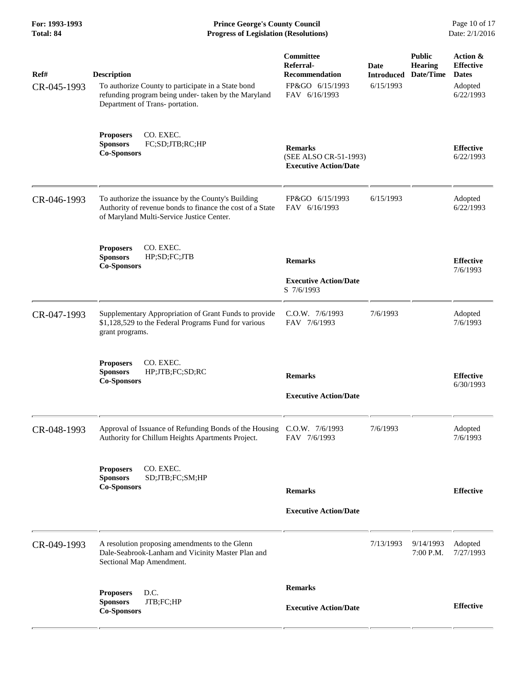**For: 1993-1993 Prince George's County Council** Page 10 of 17<br> **Prince George's County Council** Page 10 of 17<br> **Progress of Legislation (Resolutions)** Date: 2/1/2016 **Total: 84 Progress of Legislation (Resolutions)** 

| Ref#<br>CR-045-1993 | <b>Description</b><br>To authorize County to participate in a State bond<br>refunding program being under-taken by the Maryland<br>Department of Trans- portation. | <b>Committee</b><br>Referral-<br><b>Recommendation</b><br>FP&GO 6/15/1993<br>FAV 6/16/1993 | Date<br><b>Introduced</b><br>6/15/1993 | <b>Public</b><br><b>Hearing</b><br>Date/Time | Action &<br><b>Effective</b><br><b>Dates</b><br>Adopted<br>6/22/1993 |
|---------------------|--------------------------------------------------------------------------------------------------------------------------------------------------------------------|--------------------------------------------------------------------------------------------|----------------------------------------|----------------------------------------------|----------------------------------------------------------------------|
|                     | CO. EXEC.<br><b>Proposers</b><br>FC;SD;JTB;RC;HP<br><b>Sponsors</b><br><b>Co-Sponsors</b>                                                                          | <b>Remarks</b><br>(SEE ALSO CR-51-1993)<br><b>Executive Action/Date</b>                    |                                        |                                              | <b>Effective</b><br>6/22/1993                                        |
| CR-046-1993         | To authorize the issuance by the County's Building<br>Authority of revenue bonds to finance the cost of a State<br>of Maryland Multi-Service Justice Center.       | FP&GO 6/15/1993<br>FAV 6/16/1993                                                           | 6/15/1993                              |                                              | Adopted<br>6/22/1993                                                 |
|                     | CO. EXEC.<br><b>Proposers</b><br><b>Sponsors</b><br>HP;SD;FC;JTB<br><b>Co-Sponsors</b>                                                                             | <b>Remarks</b><br><b>Executive Action/Date</b><br>S 7/6/1993                               |                                        |                                              | <b>Effective</b><br>7/6/1993                                         |
| CR-047-1993         | Supplementary Appropriation of Grant Funds to provide<br>\$1,128,529 to the Federal Programs Fund for various<br>grant programs.                                   | C.O.W. 7/6/1993<br>FAV 7/6/1993                                                            | 7/6/1993                               |                                              | Adopted<br>7/6/1993                                                  |
|                     | CO. EXEC.<br><b>Proposers</b><br><b>Sponsors</b><br>HP;JTB;FC;SD;RC<br><b>Co-Sponsors</b>                                                                          | <b>Remarks</b><br><b>Executive Action/Date</b>                                             |                                        |                                              | <b>Effective</b><br>6/30/1993                                        |
| CR-048-1993         | Approval of Issuance of Refunding Bonds of the Housing C.O.W. 7/6/1993<br>Authority for Chillum Heights Apartments Project.                                        | FAV 7/6/1993                                                                               | 7/6/1993                               |                                              | Adopted<br>7/6/1993                                                  |
|                     | CO. EXEC.<br><b>Proposers</b><br>SD;JTB;FC;SM;HP<br><b>Sponsors</b><br><b>Co-Sponsors</b>                                                                          | <b>Remarks</b><br><b>Executive Action/Date</b>                                             |                                        |                                              | <b>Effective</b>                                                     |
| CR-049-1993         | A resolution proposing amendments to the Glenn<br>Dale-Seabrook-Lanham and Vicinity Master Plan and<br>Sectional Map Amendment.                                    |                                                                                            | 7/13/1993                              | 9/14/1993<br>7:00 P.M.                       | Adopted<br>7/27/1993                                                 |
|                     | D.C.<br><b>Proposers</b><br>JTB;FC;HP<br><b>Sponsors</b><br><b>Co-Sponsors</b>                                                                                     | <b>Remarks</b><br><b>Executive Action/Date</b>                                             |                                        |                                              | <b>Effective</b>                                                     |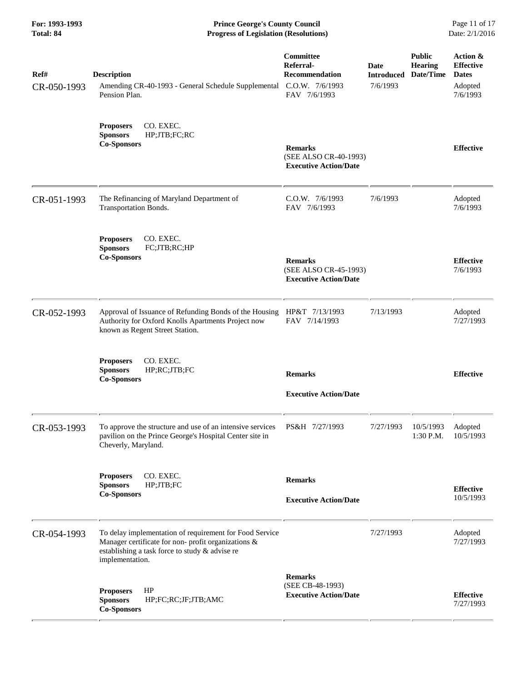**For: 1993-1993 Prince George's County Council** Page 11 of 17<br> **Prince George's County Council** Page 11 of 17<br> **Progress of Legislation (Resolutions)** Date: 2/1/2016 **Total: 84 Progress of Legislation (Resolutions)** 

| Ref#<br>CR-050-1993 | <b>Description</b><br>Amending CR-40-1993 - General Schedule Supplemental<br>Pension Plan.                                                                                          | Committee<br>Referral-<br>Recommendation<br>C.O.W. 7/6/1993<br>FAV 7/6/1993 | Date<br><b>Introduced</b><br>7/6/1993 | <b>Public</b><br><b>Hearing</b><br>Date/Time | Action &<br><b>Effective</b><br><b>Dates</b><br>Adopted<br>7/6/1993 |
|---------------------|-------------------------------------------------------------------------------------------------------------------------------------------------------------------------------------|-----------------------------------------------------------------------------|---------------------------------------|----------------------------------------------|---------------------------------------------------------------------|
|                     | CO. EXEC.<br><b>Proposers</b><br><b>Sponsors</b><br>HP;JTB;FC;RC<br><b>Co-Sponsors</b>                                                                                              | <b>Remarks</b><br>(SEE ALSO CR-40-1993)<br><b>Executive Action/Date</b>     |                                       |                                              | <b>Effective</b>                                                    |
| CR-051-1993         | The Refinancing of Maryland Department of<br>Transportation Bonds.                                                                                                                  | C.O.W. 7/6/1993<br>FAV 7/6/1993                                             | 7/6/1993                              |                                              | Adopted<br>7/6/1993                                                 |
|                     | CO. EXEC.<br><b>Proposers</b><br><b>Sponsors</b><br>FC;JTB;RC;HP<br><b>Co-Sponsors</b>                                                                                              | <b>Remarks</b><br>(SEE ALSO CR-45-1993)<br><b>Executive Action/Date</b>     |                                       |                                              | <b>Effective</b><br>7/6/1993                                        |
| CR-052-1993         | Approval of Issuance of Refunding Bonds of the Housing<br>Authority for Oxford Knolls Apartments Project now<br>known as Regent Street Station.                                     | HP&T 7/13/1993<br>FAV 7/14/1993                                             | 7/13/1993                             |                                              | Adopted<br>7/27/1993                                                |
|                     | CO. EXEC.<br><b>Proposers</b><br><b>Sponsors</b><br>HP;RC;JTB;FC<br><b>Co-Sponsors</b>                                                                                              | <b>Remarks</b><br><b>Executive Action/Date</b>                              |                                       |                                              | <b>Effective</b>                                                    |
| CR-053-1993         | To approve the structure and use of an intensive services<br>pavilion on the Prince George's Hospital Center site in<br>Cheverly, Maryland.                                         | PS&H 7/27/1993                                                              | 7/27/1993                             | 10/5/1993<br>1:30 P.M.                       | Adopted<br>10/5/1993                                                |
|                     | <b>Proposers</b><br>CO. EXEC.<br>HP;JTB;FC<br><b>Sponsors</b><br><b>Co-Sponsors</b>                                                                                                 | <b>Remarks</b><br><b>Executive Action/Date</b>                              |                                       |                                              | <b>Effective</b><br>10/5/1993                                       |
| CR-054-1993         | To delay implementation of requirement for Food Service<br>Manager certificate for non- profit organizations &<br>establishing a task force to study & advise re<br>implementation. |                                                                             | 7/27/1993                             |                                              | Adopted<br>7/27/1993                                                |
|                     | HP<br><b>Proposers</b><br><b>Sponsors</b><br>HP;FC;RC;JF;JTB;AMC<br><b>Co-Sponsors</b>                                                                                              | <b>Remarks</b><br>(SEE CB-48-1993)<br><b>Executive Action/Date</b>          |                                       |                                              | <b>Effective</b><br>7/27/1993                                       |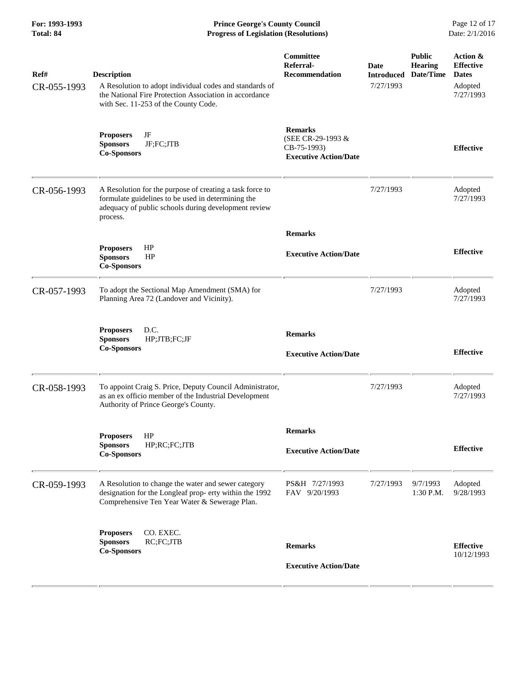**For: 1993-1993 Prince George's County Council** Page 12 of 17<br> **Prince George's County Council** Page 12 of 17<br> **Progress of Legislation (Resolutions)** Date: 2/1/2016 **Total: 84 Progress of Legislation (Resolutions)** 

| Ref#<br>CR-055-1993 | <b>Description</b><br>A Resolution to adopt individual codes and standards of<br>the National Fire Protection Association in accordance<br>with Sec. 11-253 of the County Code.    | Committee<br>Referral-<br>Recommendation                                           | Date<br><b>Introduced</b><br>7/27/1993 | <b>Public</b><br><b>Hearing</b><br>Date/Time | Action &<br><b>Effective</b><br><b>Dates</b><br>Adopted<br>7/27/1993 |
|---------------------|------------------------------------------------------------------------------------------------------------------------------------------------------------------------------------|------------------------------------------------------------------------------------|----------------------------------------|----------------------------------------------|----------------------------------------------------------------------|
|                     | JF<br><b>Proposers</b><br>JF;FC;JTB<br><b>Sponsors</b><br><b>Co-Sponsors</b>                                                                                                       | <b>Remarks</b><br>(SEE CR-29-1993 &<br>CB-75-1993)<br><b>Executive Action/Date</b> |                                        |                                              | <b>Effective</b>                                                     |
| CR-056-1993         | A Resolution for the purpose of creating a task force to<br>formulate guidelines to be used in determining the<br>adequacy of public schools during development review<br>process. |                                                                                    | 7/27/1993                              |                                              | Adopted<br>7/27/1993                                                 |
|                     | HP<br><b>Proposers</b><br><b>Sponsors</b><br>HP<br><b>Co-Sponsors</b>                                                                                                              | <b>Remarks</b><br><b>Executive Action/Date</b>                                     |                                        |                                              | <b>Effective</b>                                                     |
| CR-057-1993         | To adopt the Sectional Map Amendment (SMA) for<br>Planning Area 72 (Landover and Vicinity).                                                                                        |                                                                                    | 7/27/1993                              |                                              | Adopted<br>7/27/1993                                                 |
|                     | D.C.<br><b>Proposers</b><br><b>Sponsors</b><br>HP;JTB;FC;JF<br><b>Co-Sponsors</b>                                                                                                  | <b>Remarks</b><br><b>Executive Action/Date</b>                                     |                                        |                                              | <b>Effective</b>                                                     |
| CR-058-1993         | To appoint Craig S. Price, Deputy Council Administrator,<br>as an ex officio member of the Industrial Development<br>Authority of Prince George's County.                          |                                                                                    | 7/27/1993                              |                                              | Adopted<br>7/27/1993                                                 |
|                     | HP<br>Proposers<br><b>Sponsors</b><br>HP;RC;FC;JTB<br><b>Co-Sponsors</b>                                                                                                           | <b>Remarks</b><br><b>Executive Action/Date</b>                                     |                                        |                                              | <b>Effective</b>                                                     |
| CR-059-1993         | A Resolution to change the water and sewer category<br>designation for the Longleaf prop- erty within the 1992<br>Comprehensive Ten Year Water & Sewerage Plan.                    | PS&H 7/27/1993<br>FAV 9/20/1993                                                    | 7/27/1993                              | 9/7/1993<br>1:30 P.M.                        | Adopted<br>9/28/1993                                                 |
|                     | CO. EXEC.<br><b>Proposers</b><br>RC;FC;JTB<br><b>Sponsors</b><br><b>Co-Sponsors</b>                                                                                                | <b>Remarks</b><br><b>Executive Action/Date</b>                                     |                                        |                                              | <b>Effective</b><br>10/12/1993                                       |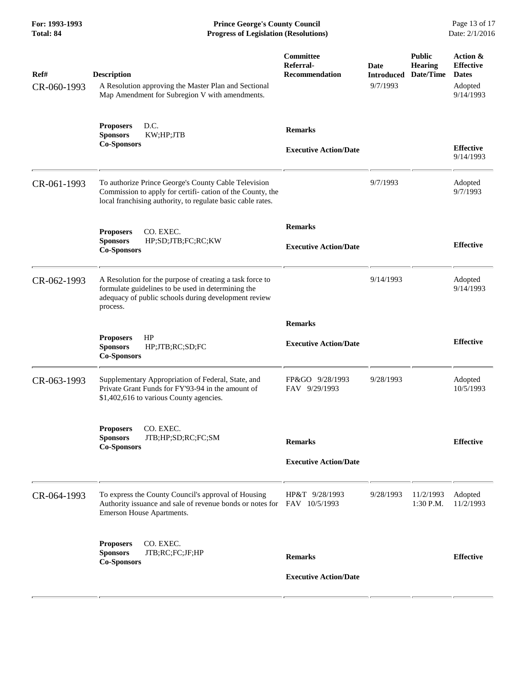**For: 1993-1993 Prince George's County Council** Page 13 of 17<br> **Prince George's County Council** Page 13 of 17<br> **Progress of Legislation (Resolutions)** Date: 2/1/2016 **Total: 84 Progress of Legislation (Resolutions)** 

| Ref#<br>CR-060-1993 | <b>Description</b><br>A Resolution approving the Master Plan and Sectional<br>Map Amendment for Subregion V with amendments.                                                       | Committee<br>Referral-<br><b>Recommendation</b> | Date<br><b>Introduced</b><br>9/7/1993 | <b>Public</b><br><b>Hearing</b><br>Date/Time | Action &<br><b>Effective</b><br><b>Dates</b><br>Adopted<br>9/14/1993 |
|---------------------|------------------------------------------------------------------------------------------------------------------------------------------------------------------------------------|-------------------------------------------------|---------------------------------------|----------------------------------------------|----------------------------------------------------------------------|
|                     | D.C.<br><b>Proposers</b><br><b>Sponsors</b><br>KW;HP;JTB<br><b>Co-Sponsors</b>                                                                                                     | <b>Remarks</b><br><b>Executive Action/Date</b>  |                                       |                                              | <b>Effective</b><br>9/14/1993                                        |
| CR-061-1993         | To authorize Prince George's County Cable Television<br>Commission to apply for certifi-cation of the County, the<br>local franchising authority, to regulate basic cable rates.   |                                                 | 9/7/1993                              |                                              | Adopted<br>9/7/1993                                                  |
|                     | CO. EXEC.<br><b>Proposers</b><br><b>Sponsors</b><br>HP;SD;JTB;FC;RC;KW<br><b>Co-Sponsors</b>                                                                                       | <b>Remarks</b><br><b>Executive Action/Date</b>  |                                       |                                              | <b>Effective</b>                                                     |
| CR-062-1993         | A Resolution for the purpose of creating a task force to<br>formulate guidelines to be used in determining the<br>adequacy of public schools during development review<br>process. |                                                 | 9/14/1993                             |                                              | Adopted<br>9/14/1993                                                 |
|                     | HP<br><b>Proposers</b><br><b>Sponsors</b><br>HP;JTB;RC;SD;FC<br><b>Co-Sponsors</b>                                                                                                 | <b>Remarks</b><br><b>Executive Action/Date</b>  |                                       |                                              | <b>Effective</b>                                                     |
| CR-063-1993         | Supplementary Appropriation of Federal, State, and<br>Private Grant Funds for FY'93-94 in the amount of<br>\$1,402,616 to various County agencies.                                 | FP&GO 9/28/1993<br>FAV 9/29/1993                | 9/28/1993                             |                                              | Adopted<br>10/5/1993                                                 |
|                     | CO. EXEC.<br><b>Proposers</b><br><b>Sponsors</b><br>JTB;HP;SD;RC;FC;SM<br><b>Co-Sponsors</b>                                                                                       | <b>Remarks</b><br><b>Executive Action/Date</b>  |                                       |                                              | <b>Effective</b>                                                     |
| CR-064-1993         | To express the County Council's approval of Housing<br>Authority issuance and sale of revenue bonds or notes for FAV 10/5/1993<br>Emerson House Apartments.                        | HP&T 9/28/1993                                  | 9/28/1993                             | 11/2/1993<br>1:30 P.M.                       | Adopted<br>11/2/1993                                                 |
|                     | CO. EXEC.<br><b>Proposers</b><br>JTB;RC;FC;JF;HP<br><b>Sponsors</b><br><b>Co-Sponsors</b>                                                                                          | <b>Remarks</b><br><b>Executive Action/Date</b>  |                                       |                                              | <b>Effective</b>                                                     |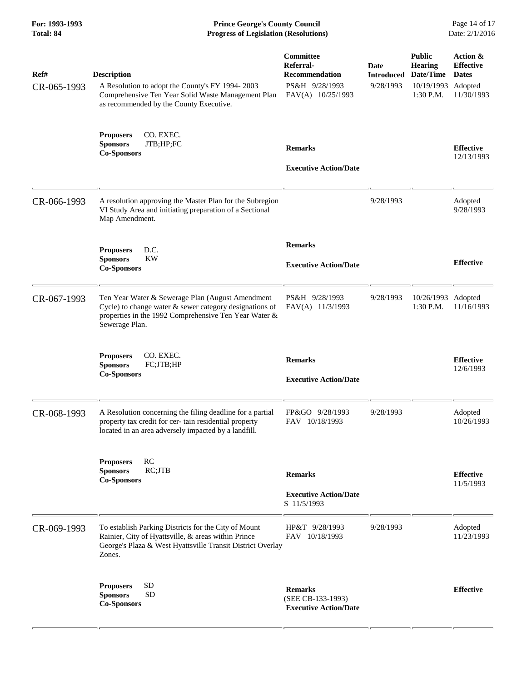**For: 1993-1993 Prince George's County Council** Page 14 of 17<br> **Prince George's County Council** Page 14 of 17<br> **Progress of Legislation (Resolutions)** Date: 2/1/2016 **Total: 84 Progress of Legislation (Resolutions)** 

| Ref#<br>CR-065-1993 | <b>Description</b><br>A Resolution to adopt the County's FY 1994-2003<br>Comprehensive Ten Year Solid Waste Management Plan<br>as recommended by the County Executive.                 | Committee<br>Referral-<br>Recommendation<br>PS&H 9/28/1993<br>FAV(A) 10/25/1993 | Date<br><b>Introduced</b><br>9/28/1993 | <b>Public</b><br><b>Hearing</b><br>Date/Time<br>10/19/1993<br>1:30 P.M. | Action &<br><b>Effective</b><br><b>Dates</b><br>Adopted<br>11/30/1993 |
|---------------------|----------------------------------------------------------------------------------------------------------------------------------------------------------------------------------------|---------------------------------------------------------------------------------|----------------------------------------|-------------------------------------------------------------------------|-----------------------------------------------------------------------|
|                     | <b>Proposers</b><br>CO. EXEC.<br>JTB;HP;FC<br><b>Sponsors</b><br><b>Co-Sponsors</b>                                                                                                    | <b>Remarks</b><br><b>Executive Action/Date</b>                                  |                                        |                                                                         | <b>Effective</b><br>12/13/1993                                        |
| CR-066-1993         | A resolution approving the Master Plan for the Subregion<br>VI Study Area and initiating preparation of a Sectional<br>Map Amendment.                                                  |                                                                                 | 9/28/1993                              |                                                                         | Adopted<br>9/28/1993                                                  |
|                     | D.C.<br><b>Proposers</b><br><b>Sponsors</b><br><b>KW</b><br><b>Co-Sponsors</b>                                                                                                         | <b>Remarks</b><br><b>Executive Action/Date</b>                                  |                                        |                                                                         | <b>Effective</b>                                                      |
| CR-067-1993         | Ten Year Water & Sewerage Plan (August Amendment<br>Cycle) to change water & sewer category designations of<br>properties in the 1992 Comprehensive Ten Year Water &<br>Sewerage Plan. | PS&H 9/28/1993<br>FAV(A) 11/3/1993                                              | 9/28/1993                              | 10/26/1993 Adopted<br>1:30 P.M.                                         | 11/16/1993                                                            |
|                     | CO. EXEC.<br><b>Proposers</b><br><b>Sponsors</b><br>FC;JTB;HP<br><b>Co-Sponsors</b>                                                                                                    | <b>Remarks</b><br><b>Executive Action/Date</b>                                  |                                        |                                                                         | <b>Effective</b><br>12/6/1993                                         |
| CR-068-1993         | A Resolution concerning the filing deadline for a partial<br>property tax credit for cer-tain residential property<br>located in an area adversely impacted by a landfill.             | FP&GO 9/28/1993<br>FAV 10/18/1993                                               | 9/28/1993                              |                                                                         | Adopted<br>10/26/1993                                                 |
|                     | RC<br><b>Proposers</b><br>RC;JTB<br><b>Sponsors</b><br><b>Co-Sponsors</b>                                                                                                              | <b>Remarks</b><br><b>Executive Action/Date</b><br>S 11/5/1993                   |                                        |                                                                         | <b>Effective</b><br>11/5/1993                                         |
| CR-069-1993         | To establish Parking Districts for the City of Mount<br>Rainier, City of Hyattsville, & areas within Prince<br>George's Plaza & West Hyattsville Transit District Overlay<br>Zones.    | HP&T 9/28/1993<br>FAV 10/18/1993                                                | 9/28/1993                              |                                                                         | Adopted<br>11/23/1993                                                 |
|                     | <b>SD</b><br><b>Proposers</b><br><b>Sponsors</b><br><b>SD</b><br><b>Co-Sponsors</b>                                                                                                    | <b>Remarks</b><br>(SEE CB-133-1993)<br><b>Executive Action/Date</b>             |                                        |                                                                         | <b>Effective</b>                                                      |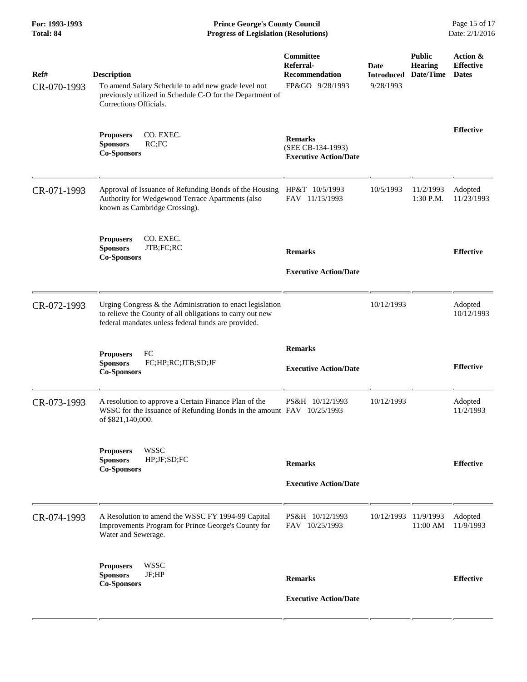**For: 1993-1993 Prince George's County Council** Page 15 of 17<br> **Prince George's County Council** Page 15 of 17<br> **Progress of Legislation (Resolutions)** Date: 2/1/2016 **Total: 84 Progress of Legislation (Resolutions)** 

| Ref#<br>CR-070-1993 | <b>Description</b><br>To amend Salary Schedule to add new grade level not<br>previously utilized in Schedule C-O for the Department of<br>Corrections Officials.              | Committee<br>Referral-<br><b>Recommendation</b><br>FP&GO 9/28/1993  | Date<br><b>Introduced</b><br>9/28/1993 | <b>Public</b><br><b>Hearing</b><br>Date/Time | Action &<br><b>Effective</b><br><b>Dates</b> |
|---------------------|-------------------------------------------------------------------------------------------------------------------------------------------------------------------------------|---------------------------------------------------------------------|----------------------------------------|----------------------------------------------|----------------------------------------------|
|                     | <b>Proposers</b><br>CO. EXEC.<br>RC;FC<br><b>Sponsors</b><br><b>Co-Sponsors</b>                                                                                               | <b>Remarks</b><br>(SEE CB-134-1993)<br><b>Executive Action/Date</b> |                                        |                                              | <b>Effective</b>                             |
| CR-071-1993         | Approval of Issuance of Refunding Bonds of the Housing<br>Authority for Wedgewood Terrace Apartments (also<br>known as Cambridge Crossing).                                   | HP&T 10/5/1993<br>FAV 11/15/1993                                    | 10/5/1993                              | 11/2/1993<br>1:30 P.M.                       | Adopted<br>11/23/1993                        |
|                     | <b>Proposers</b><br>CO. EXEC.<br>JTB;FC;RC<br><b>Sponsors</b><br><b>Co-Sponsors</b>                                                                                           | <b>Remarks</b><br><b>Executive Action/Date</b>                      |                                        |                                              | <b>Effective</b>                             |
| CR-072-1993         | Urging Congress & the Administration to enact legislation<br>to relieve the County of all obligations to carry out new<br>federal mandates unless federal funds are provided. |                                                                     | 10/12/1993                             |                                              | Adopted<br>10/12/1993                        |
|                     | FC<br><b>Proposers</b><br><b>Sponsors</b><br>FC;HP;RC;JTB;SD;JF<br><b>Co-Sponsors</b>                                                                                         | <b>Remarks</b><br><b>Executive Action/Date</b>                      |                                        |                                              | <b>Effective</b>                             |
| CR-073-1993         | A resolution to approve a Certain Finance Plan of the<br>WSSC for the Issuance of Refunding Bonds in the amount FAV 10/25/1993<br>of \$821,140,000.                           | PS&H 10/12/1993                                                     | 10/12/1993                             |                                              | Adopted<br>11/2/1993                         |
|                     | <b>Proposers</b><br><b>WSSC</b><br>HP;JF;SD;FC<br><b>Sponsors</b><br><b>Co-Sponsors</b>                                                                                       | <b>Remarks</b><br><b>Executive Action/Date</b>                      |                                        |                                              | <b>Effective</b>                             |
| CR-074-1993         | A Resolution to amend the WSSC FY 1994-99 Capital<br>Improvements Program for Prince George's County for<br>Water and Sewerage.                                               | PS&H 10/12/1993<br>FAV 10/25/1993                                   | 10/12/1993 11/9/1993                   | 11:00 AM                                     | Adopted<br>11/9/1993                         |
|                     | <b>WSSC</b><br><b>Proposers</b><br><b>Sponsors</b><br>JF;HP<br><b>Co-Sponsors</b>                                                                                             | <b>Remarks</b><br><b>Executive Action/Date</b>                      |                                        |                                              | <b>Effective</b>                             |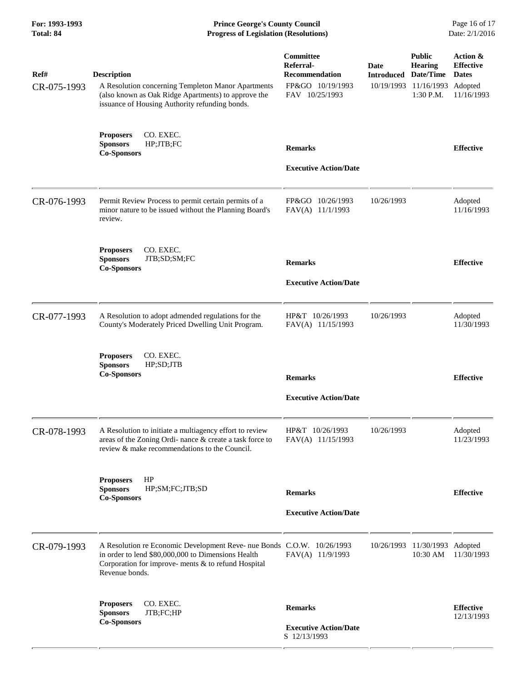**For: 1993-1993 Prince George's County Council** Page 16 of 17<br> **Prince George's County Council** Page 16 of 17<br> **Progress of Legislation (Resolutions)** Date: 2/1/2016 **Total: 84 Progress of Legislation (Resolutions)** 

| Ref#<br>CR-075-1993 | <b>Description</b><br>A Resolution concerning Templeton Manor Apartments<br>(also known as Oak Ridge Apartments) to approve the<br>issuance of Housing Authority refunding bonds.                     | Committee<br>Referral-<br><b>Recommendation</b><br>FP&GO 10/19/1993<br>FAV 10/25/1993 | Date<br><b>Introduced</b><br>10/19/1993 | <b>Public</b><br><b>Hearing</b><br>Date/Time<br>11/16/1993<br>1:30 P.M. | Action &<br><b>Effective</b><br><b>Dates</b><br>Adopted<br>11/16/1993 |
|---------------------|-------------------------------------------------------------------------------------------------------------------------------------------------------------------------------------------------------|---------------------------------------------------------------------------------------|-----------------------------------------|-------------------------------------------------------------------------|-----------------------------------------------------------------------|
|                     | CO. EXEC.<br><b>Proposers</b><br>HP;JTB;FC<br><b>Sponsors</b><br><b>Co-Sponsors</b>                                                                                                                   | <b>Remarks</b><br><b>Executive Action/Date</b>                                        |                                         |                                                                         | <b>Effective</b>                                                      |
| CR-076-1993         | Permit Review Process to permit certain permits of a<br>minor nature to be issued without the Planning Board's<br>review.                                                                             | FP&GO 10/26/1993<br>FAV(A) 11/1/1993                                                  | 10/26/1993                              |                                                                         | Adopted<br>11/16/1993                                                 |
|                     | CO. EXEC.<br><b>Proposers</b><br><b>Sponsors</b><br>JTB;SD;SM;FC<br><b>Co-Sponsors</b>                                                                                                                | <b>Remarks</b><br><b>Executive Action/Date</b>                                        |                                         |                                                                         | <b>Effective</b>                                                      |
| CR-077-1993         | A Resolution to adopt admended regulations for the<br>County's Moderately Priced Dwelling Unit Program.                                                                                               | HP&T 10/26/1993<br>FAV(A) 11/15/1993                                                  | 10/26/1993                              |                                                                         | Adopted<br>11/30/1993                                                 |
|                     | CO. EXEC.<br><b>Proposers</b><br><b>Sponsors</b><br>HP;SD;JTB<br><b>Co-Sponsors</b>                                                                                                                   | <b>Remarks</b><br><b>Executive Action/Date</b>                                        |                                         |                                                                         | <b>Effective</b>                                                      |
| CR-078-1993         | A Resolution to initiate a multiagency effort to review<br>areas of the Zoning Ordi- nance & create a task force to<br>review & make recommendations to the Council.                                  | HP&T 10/26/1993<br>FAV(A) 11/15/1993                                                  | 10/26/1993                              |                                                                         | Adopted<br>11/23/1993                                                 |
|                     | HP<br><b>Proposers</b><br><b>Sponsors</b><br>HP;SM;FC;JTB;SD<br><b>Co-Sponsors</b>                                                                                                                    | <b>Remarks</b><br><b>Executive Action/Date</b>                                        |                                         |                                                                         | <b>Effective</b>                                                      |
| CR-079-1993         | A Resolution re Economic Development Reve- nue Bonds C.O.W. 10/26/1993<br>in order to lend \$80,000,000 to Dimensions Health<br>Corporation for improve- ments & to refund Hospital<br>Revenue bonds. | FAV(A) 11/9/1993                                                                      | 10/26/1993                              | 11/30/1993 Adopted<br>10:30 AM                                          | 11/30/1993                                                            |
|                     | CO. EXEC.<br><b>Proposers</b><br><b>Sponsors</b><br>JTB;FC;HP<br><b>Co-Sponsors</b>                                                                                                                   | <b>Remarks</b><br><b>Executive Action/Date</b><br>S 12/13/1993                        |                                         |                                                                         | <b>Effective</b><br>12/13/1993                                        |